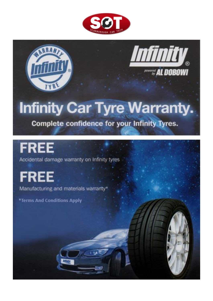

minity *POWERED AL DOBOWI* 

# **Infinity Car Tyre Warranty.**

**Complete confidence for your Infinity Tyres.** 

## **FREE**

Accidental damage warranty on Infinity tyres

## **FREE**

Manufacturing and materials warranty\*

\*Terms And Conditions Apply